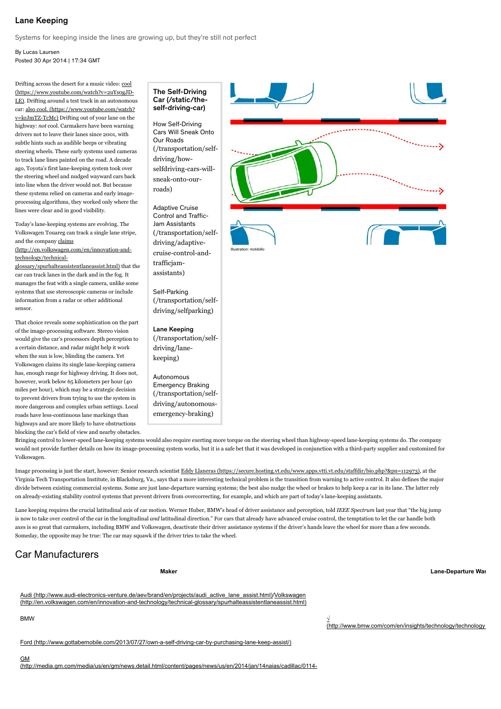### Lane Keeping

Systems for keeping inside the lines are growing up, but they're still not perfect

By Lucas Laursen Posted 30 Apr 2014 | 17:34 GMT

Drifting across the desert for a music video: cool LE). Drifting around a test track in an autonomous car: [also cool. \(https://www.youtube.com/watch?](https://www.youtube.com/watch?v=krJmTZ-TcMc) v=krJmTZ-TcMc) Drifting out of your lane on the highway: not cool. Carmakers have been warning drivers not to leave their lanes since 2001, with subtle hints such as audible beeps or vibrating steering wheels. These early systems used cameras to track lane lines painted on the road. A decade ago, Toyota's first lane-keeping system took over the steering wheel and nudged wayward cars back into line when the driver would not. But because these systems relied on cameras and early imageprocessing algorithms, they worked only where the lines were clear and in good visibility. [\(https://www.youtube.com/watch?v=2uYs0gJD-](https://www.youtube.com/watch?v=2uYs0gJD-LE)

Today's lane-keeping systems are evolving. The Volkswagen Touareg can track a single lane stripe, and the company claims

[\(http://en.volkswagen.com/en/innovation-and](http://en.volkswagen.com/en/innovation-and-technology/technical-glossary/spurhalteassistentlaneassist.html)technology/technical-

glossary/spurhalteassistentlaneassist.html) that the car can track lanes in the dark and in the fog. It manages the feat with a single camera, unlike some systems that use stereoscopic cameras or include information from a radar or other additional sensor.

That choice reveals some sophistication on the part of the image-processing software. Stereo vision would give the car's processors depth perception to a certain distance, and radar might help it work when the sun is low, blinding the camera. Yet Volkswagen claims its single lane-keeping camera has, enough range for highway driving. It does not, however, work below 65 kilometers per hour (40 miles per hour), which may be a strategic decision to prevent drivers from trying to use the system in more dangerous and complex urban settings. Local roads have less-continuous lane markings than highways and are more likely to have obstructions blocking the car's field of view and nearby obstacles.

### The Self-Driving [Car \(/static/the](http://spectrum.ieee.org/static/the-self-driving-car)self-driving-car)

How Self-Driving Cars Will Sneak Onto Our Roads [\(/transportation/self](http://spectrum.ieee.org/transportation/self-driving/how-selfdriving-cars-will-sneak-onto-our-roads)driving/howselfdriving-cars-willsneak-onto-ourroads)

Adaptive Cruise Control and Traffic-Jam Assistants [\(/transportation/self](http://spectrum.ieee.org/transportation/self-driving/adaptive-cruise-control-and-trafficjam-assistants)driving/adaptivecruise-control-andtrafficjamassistants)

Self-Parking [\(/transportation/self](http://spectrum.ieee.org/transportation/self-driving/selfparking)driving/selfparking)

Lane Keeping [\(/transportation/self](http://spectrum.ieee.org/transportation/self-driving/lane-keeping)driving/lanekeeping)

Autonomous Emergency Braking [\(/transportation/self](http://spectrum.ieee.org/transportation/self-driving/autonomous-emergency-braking)driving/autonomousemergency-braking)



Bringing control to lower-speed lane-keeping systems would also require exerting more torque on the steering wheel than highway-speed lane-keeping systems do. The company would not provide further details on how its image-processing system works, but it is a safe bet that it was developed in conjunction with a third-party supplier and customized for Volkswagen.

Image processing is just the start, however: Senior research scientist Eddy Llaneras (https://secure.hosting.vt.edu/www.apps.vtti.vt.edu/staffdir/bio.php?&pn=112973), at the Virginia Tech Transportation Institute, in Blacksburg, Va., says that a more interesting technical problem is the transition from warning to active control. It also defines the major divide between existing commercial systems. Some are just lane-departure warning systems; the best also nudge the wheel or brakes to help keep a car in its lane. The latter rely on already-existing stability control systems that prevent drivers from overcorrecting, for example, and which are part of today's lane-keeping assistants.

Lane keeping requires the crucial latitudinal axis of car motion. Werner Huber, BMW's head of driver assistance and perception, told *IEEE Spectrum* last year that "the big jump is now to take over control of the car in the longitudinal and latitudinal direction." For cars that already have advanced cruise control, the temptation to let the car handle both axes is so great that carmakers, including BMW and Volkswagen, deactivate their driver assistance systems if the driver's hands leave the wheel for more than a few seconds. Someday, the opposite may be true: The car may squawk if the driver tries to take the wheel.

# Car Manufacturers

**Maker Lane-Departure Warning**

[Audi \(http://www.audi-electronics-venture.de/aev/brand/en/projects/audi\\_active\\_lane\\_assist.html\)](http://www.audi-electronics-venture.de/aev/brand/en/projects/audi_active_lane_assist.html)/Volkswagen [\(http://en.volkswagen.com/en/innovation-and-technology/technical-glossary/spurhalteassistentlaneassist.html\)](http://en.volkswagen.com/en/innovation-and-technology/technical-glossary/spurhalteassistentlaneassist.html)

BMW  $\frac{1}{2}$ 

(http://www.bmw.com/com/en/insights/technology/technology

[Ford \(http://www.gottabemobile.com/2013/07/27/own-a-self-driving-car-by-purchasing-lane-keep-assist/\)](http://www.gottabemobile.com/2013/07/27/own-a-self-driving-car-by-purchasing-lane-keep-assist/)

[\(http://media.gm.com/media/us/en/gm/news.detail.html/content/pages/news/us/en/2014/jan/14naias/cadillac/0114-](http://media.gm.com/media/us/en/gm/news.detail.html/content/pages/news/us/en/2014/jan/14naias/cadillac/0114-naias-ats-coupe.html)

**GM**